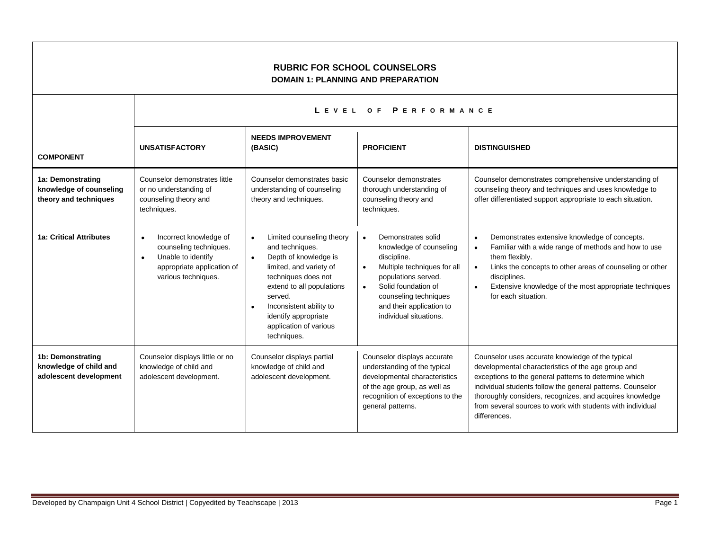## **RUBRIC FOR SCHOOL COUNSELORS DOMAIN 1: PLANNING AND PREPARATION**

|                                                                       | LEVEL OF PERFORMANCE                                                                                                                     |                                                                                                                                                                                                                                                                                       |                                                                                                                                                                                                                                                                 |                                                                                                                                                                                                                                                                                                                                                                         |
|-----------------------------------------------------------------------|------------------------------------------------------------------------------------------------------------------------------------------|---------------------------------------------------------------------------------------------------------------------------------------------------------------------------------------------------------------------------------------------------------------------------------------|-----------------------------------------------------------------------------------------------------------------------------------------------------------------------------------------------------------------------------------------------------------------|-------------------------------------------------------------------------------------------------------------------------------------------------------------------------------------------------------------------------------------------------------------------------------------------------------------------------------------------------------------------------|
| <b>COMPONENT</b>                                                      | <b>UNSATISFACTORY</b>                                                                                                                    | <b>NEEDS IMPROVEMENT</b><br>(BASIC)                                                                                                                                                                                                                                                   | <b>PROFICIENT</b>                                                                                                                                                                                                                                               | <b>DISTINGUISHED</b>                                                                                                                                                                                                                                                                                                                                                    |
| 1a: Demonstrating<br>knowledge of counseling<br>theory and techniques | Counselor demonstrates little<br>or no understanding of<br>counseling theory and<br>techniques.                                          | Counselor demonstrates basic<br>understanding of counseling<br>theory and techniques.                                                                                                                                                                                                 | Counselor demonstrates<br>thorough understanding of<br>counseling theory and<br>techniques.                                                                                                                                                                     | Counselor demonstrates comprehensive understanding of<br>counseling theory and techniques and uses knowledge to<br>offer differentiated support appropriate to each situation.                                                                                                                                                                                          |
| <b>1a: Critical Attributes</b>                                        | Incorrect knowledge of<br>counseling techniques.<br>Unable to identify<br>$\bullet$<br>appropriate application of<br>various techniques. | Limited counseling theory<br>$\bullet$<br>and techniques.<br>Depth of knowledge is<br>$\bullet$<br>limited, and variety of<br>techniques does not<br>extend to all populations<br>served.<br>Inconsistent ability to<br>identify appropriate<br>application of various<br>techniques. | Demonstrates solid<br>$\bullet$<br>knowledge of counseling<br>discipline.<br>Multiple techniques for all<br>$\bullet$<br>populations served.<br>Solid foundation of<br>$\bullet$<br>counseling techniques<br>and their application to<br>individual situations. | Demonstrates extensive knowledge of concepts.<br>$\bullet$<br>Familiar with a wide range of methods and how to use<br>$\bullet$<br>them flexibly.<br>Links the concepts to other areas of counseling or other<br>$\bullet$<br>disciplines.<br>Extensive knowledge of the most appropriate techniques<br>$\bullet$<br>for each situation.                                |
| 1b: Demonstrating<br>knowledge of child and<br>adolescent development | Counselor displays little or no<br>knowledge of child and<br>adolescent development.                                                     | Counselor displays partial<br>knowledge of child and<br>adolescent development.                                                                                                                                                                                                       | Counselor displays accurate<br>understanding of the typical<br>developmental characteristics<br>of the age group, as well as<br>recognition of exceptions to the<br>general patterns.                                                                           | Counselor uses accurate knowledge of the typical<br>developmental characteristics of the age group and<br>exceptions to the general patterns to determine which<br>individual students follow the general patterns. Counselor<br>thoroughly considers, recognizes, and acquires knowledge<br>from several sources to work with students with individual<br>differences. |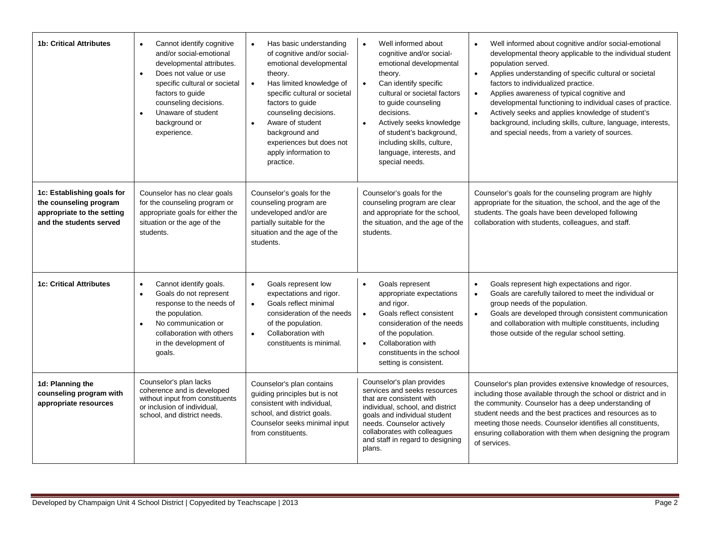| <b>1b: Critical Attributes</b>                                                                                | Cannot identify cognitive<br>$\bullet$<br>and/or social-emotional<br>developmental attributes.<br>Does not value or use<br>$\bullet$<br>specific cultural or societal<br>factors to guide<br>counseling decisions.<br>Unaware of student<br>$\bullet$<br>background or<br>experience. | Has basic understanding<br>of cognitive and/or social-<br>emotional developmental<br>theory.<br>Has limited knowledge of<br>specific cultural or societal<br>factors to guide<br>counseling decisions.<br>Aware of student<br>background and<br>experiences but does not<br>apply information to<br>practice. | Well informed about<br>$\bullet$<br>cognitive and/or social-<br>emotional developmental<br>theory.<br>Can identify specific<br>$\bullet$<br>cultural or societal factors<br>to guide counseling<br>decisions.<br>Actively seeks knowledge<br>$\bullet$<br>of student's background,<br>including skills, culture,<br>language, interests, and<br>special needs. | Well informed about cognitive and/or social-emotional<br>developmental theory applicable to the individual student<br>population served.<br>Applies understanding of specific cultural or societal<br>$\bullet$<br>factors to individualized practice.<br>Applies awareness of typical cognitive and<br>$\bullet$<br>developmental functioning to individual cases of practice.<br>Actively seeks and applies knowledge of student's<br>background, including skills, culture, language, interests,<br>and special needs, from a variety of sources. |
|---------------------------------------------------------------------------------------------------------------|---------------------------------------------------------------------------------------------------------------------------------------------------------------------------------------------------------------------------------------------------------------------------------------|---------------------------------------------------------------------------------------------------------------------------------------------------------------------------------------------------------------------------------------------------------------------------------------------------------------|----------------------------------------------------------------------------------------------------------------------------------------------------------------------------------------------------------------------------------------------------------------------------------------------------------------------------------------------------------------|------------------------------------------------------------------------------------------------------------------------------------------------------------------------------------------------------------------------------------------------------------------------------------------------------------------------------------------------------------------------------------------------------------------------------------------------------------------------------------------------------------------------------------------------------|
| 1c: Establishing goals for<br>the counseling program<br>appropriate to the setting<br>and the students served | Counselor has no clear goals<br>for the counseling program or<br>appropriate goals for either the<br>situation or the age of the<br>students.                                                                                                                                         | Counselor's goals for the<br>counseling program are<br>undeveloped and/or are<br>partially suitable for the<br>situation and the age of the<br>students.                                                                                                                                                      | Counselor's goals for the<br>counseling program are clear<br>and appropriate for the school,<br>the situation, and the age of the<br>students.                                                                                                                                                                                                                 | Counselor's goals for the counseling program are highly<br>appropriate for the situation, the school, and the age of the<br>students. The goals have been developed following<br>collaboration with students, colleagues, and staff.                                                                                                                                                                                                                                                                                                                 |
| <b>1c: Critical Attributes</b>                                                                                | Cannot identify goals.<br>$\bullet$<br>Goals do not represent<br>$\bullet$<br>response to the needs of<br>the population.<br>No communication or<br>$\bullet$<br>collaboration with others<br>in the development of<br>goals.                                                         | Goals represent low<br>expectations and rigor.<br>Goals reflect minimal<br>consideration of the needs<br>of the population.<br>Collaboration with<br>$\bullet$<br>constituents is minimal.                                                                                                                    | Goals represent<br>$\bullet$<br>appropriate expectations<br>and rigor.<br>Goals reflect consistent<br>$\bullet$<br>consideration of the needs<br>of the population.<br>Collaboration with<br>$\bullet$<br>constituents in the school<br>setting is consistent.                                                                                                 | Goals represent high expectations and rigor.<br>$\bullet$<br>Goals are carefully tailored to meet the individual or<br>$\bullet$<br>group needs of the population.<br>Goals are developed through consistent communication<br>$\bullet$<br>and collaboration with multiple constituents, including<br>those outside of the regular school setting.                                                                                                                                                                                                   |
| 1d: Planning the<br>counseling program with<br>appropriate resources                                          | Counselor's plan lacks<br>coherence and is developed<br>without input from constituents<br>or inclusion of individual.<br>school, and district needs.                                                                                                                                 | Counselor's plan contains<br>guiding principles but is not<br>consistent with individual,<br>school, and district goals.<br>Counselor seeks minimal input<br>from constituents.                                                                                                                               | Counselor's plan provides<br>services and seeks resources<br>that are consistent with<br>individual, school, and district<br>goals and individual student<br>needs. Counselor actively<br>collaborates with colleagues<br>and staff in regard to designing<br>plans.                                                                                           | Counselor's plan provides extensive knowledge of resources,<br>including those available through the school or district and in<br>the community. Counselor has a deep understanding of<br>student needs and the best practices and resources as to<br>meeting those needs. Counselor identifies all constituents,<br>ensuring collaboration with them when designing the program<br>of services.                                                                                                                                                     |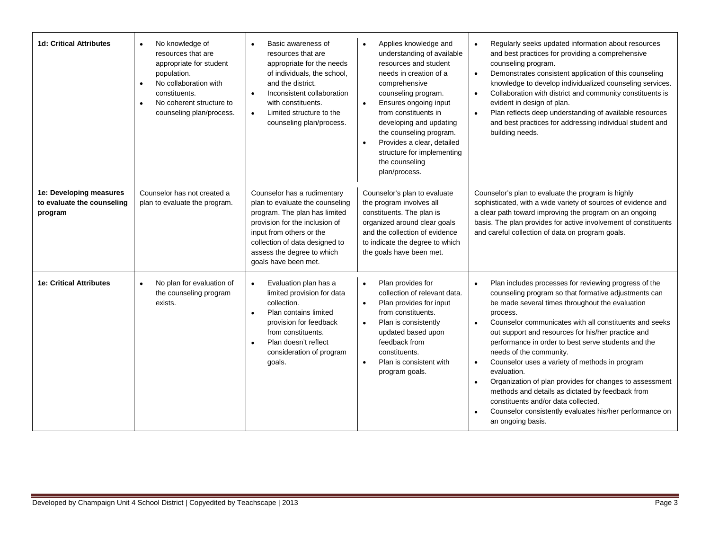| <b>1d: Critical Attributes</b>                                   | No knowledge of<br>$\bullet$<br>resources that are<br>appropriate for student<br>population.<br>No collaboration with<br>$\bullet$<br>constituents.<br>No coherent structure to<br>$\bullet$<br>counseling plan/process. | Basic awareness of<br>$\bullet$<br>resources that are<br>appropriate for the needs<br>of individuals, the school,<br>and the district.<br>Inconsistent collaboration<br>with constituents.<br>Limited structure to the<br>$\bullet$<br>counseling plan/process. | Applies knowledge and<br>$\bullet$<br>understanding of available<br>resources and student<br>needs in creation of a<br>comprehensive<br>counseling program.<br>Ensures ongoing input<br>$\bullet$<br>from constituents in<br>developing and updating<br>the counseling program.<br>Provides a clear, detailed<br>$\bullet$<br>structure for implementing<br>the counseling<br>plan/process. | Regularly seeks updated information about resources<br>$\bullet$<br>and best practices for providing a comprehensive<br>counseling program.<br>Demonstrates consistent application of this counseling<br>$\bullet$<br>knowledge to develop individualized counseling services.<br>Collaboration with district and community constituents is<br>$\bullet$<br>evident in design of plan.<br>Plan reflects deep understanding of available resources<br>$\bullet$<br>and best practices for addressing individual student and<br>building needs.                                                                                                                                                                                                          |
|------------------------------------------------------------------|--------------------------------------------------------------------------------------------------------------------------------------------------------------------------------------------------------------------------|-----------------------------------------------------------------------------------------------------------------------------------------------------------------------------------------------------------------------------------------------------------------|---------------------------------------------------------------------------------------------------------------------------------------------------------------------------------------------------------------------------------------------------------------------------------------------------------------------------------------------------------------------------------------------|--------------------------------------------------------------------------------------------------------------------------------------------------------------------------------------------------------------------------------------------------------------------------------------------------------------------------------------------------------------------------------------------------------------------------------------------------------------------------------------------------------------------------------------------------------------------------------------------------------------------------------------------------------------------------------------------------------------------------------------------------------|
| 1e: Developing measures<br>to evaluate the counseling<br>program | Counselor has not created a<br>plan to evaluate the program.                                                                                                                                                             | Counselor has a rudimentary<br>plan to evaluate the counseling<br>program. The plan has limited<br>provision for the inclusion of<br>input from others or the<br>collection of data designed to<br>assess the degree to which<br>goals have been met.           | Counselor's plan to evaluate<br>the program involves all<br>constituents. The plan is<br>organized around clear goals<br>and the collection of evidence<br>to indicate the degree to which<br>the goals have been met.                                                                                                                                                                      | Counselor's plan to evaluate the program is highly<br>sophisticated, with a wide variety of sources of evidence and<br>a clear path toward improving the program on an ongoing<br>basis. The plan provides for active involvement of constituents<br>and careful collection of data on program goals.                                                                                                                                                                                                                                                                                                                                                                                                                                                  |
| <b>1e: Critical Attributes</b>                                   | No plan for evaluation of<br>$\bullet$<br>the counseling program<br>exists.                                                                                                                                              | Evaluation plan has a<br>limited provision for data<br>collection.<br>Plan contains limited<br>$\bullet$<br>provision for feedback<br>from constituents.<br>Plan doesn't reflect<br>$\bullet$<br>consideration of program<br>goals.                             | Plan provides for<br>$\bullet$<br>collection of relevant data.<br>Plan provides for input<br>$\bullet$<br>from constituents.<br>Plan is consistently<br>$\bullet$<br>updated based upon<br>feedback from<br>constituents.<br>Plan is consistent with<br>$\bullet$<br>program goals.                                                                                                         | Plan includes processes for reviewing progress of the<br>$\bullet$<br>counseling program so that formative adjustments can<br>be made several times throughout the evaluation<br>process.<br>Counselor communicates with all constituents and seeks<br>$\bullet$<br>out support and resources for his/her practice and<br>performance in order to best serve students and the<br>needs of the community.<br>Counselor uses a variety of methods in program<br>$\bullet$<br>evaluation.<br>Organization of plan provides for changes to assessment<br>$\bullet$<br>methods and details as dictated by feedback from<br>constituents and/or data collected.<br>Counselor consistently evaluates his/her performance on<br>$\bullet$<br>an ongoing basis. |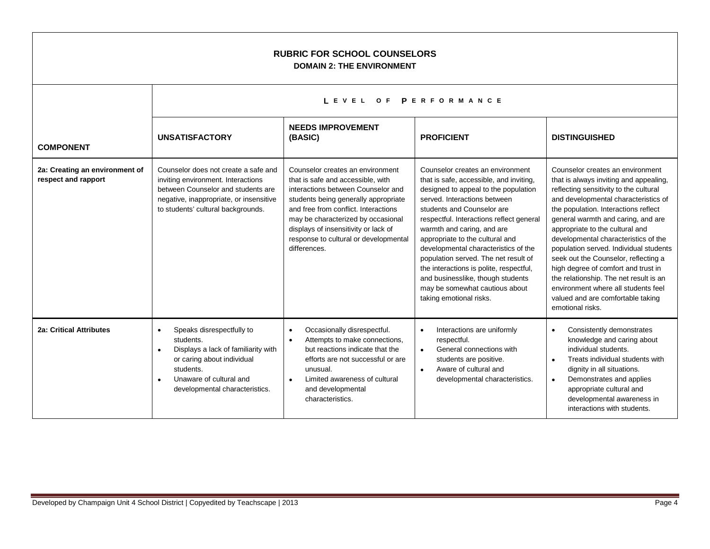| <b>RUBRIC FOR SCHOOL COUNSELORS</b><br><b>DOMAIN 2: THE ENVIRONMENT</b> |                                                                                                                                                                                                    |                                                                                                                                                                                                                                                                                                                                    |                                                                                                                                                                                                                                                                                                                                                                                                                                                                                                                             |                                                                                                                                                                                                                                                                                                                                                                                                                                                                                                                                                                                          |
|-------------------------------------------------------------------------|----------------------------------------------------------------------------------------------------------------------------------------------------------------------------------------------------|------------------------------------------------------------------------------------------------------------------------------------------------------------------------------------------------------------------------------------------------------------------------------------------------------------------------------------|-----------------------------------------------------------------------------------------------------------------------------------------------------------------------------------------------------------------------------------------------------------------------------------------------------------------------------------------------------------------------------------------------------------------------------------------------------------------------------------------------------------------------------|------------------------------------------------------------------------------------------------------------------------------------------------------------------------------------------------------------------------------------------------------------------------------------------------------------------------------------------------------------------------------------------------------------------------------------------------------------------------------------------------------------------------------------------------------------------------------------------|
|                                                                         |                                                                                                                                                                                                    | LEVEL OF PERFORMANCE                                                                                                                                                                                                                                                                                                               |                                                                                                                                                                                                                                                                                                                                                                                                                                                                                                                             |                                                                                                                                                                                                                                                                                                                                                                                                                                                                                                                                                                                          |
| <b>COMPONENT</b>                                                        | <b>UNSATISFACTORY</b>                                                                                                                                                                              | <b>NEEDS IMPROVEMENT</b><br>(BASIC)                                                                                                                                                                                                                                                                                                | <b>PROFICIENT</b>                                                                                                                                                                                                                                                                                                                                                                                                                                                                                                           | <b>DISTINGUISHED</b>                                                                                                                                                                                                                                                                                                                                                                                                                                                                                                                                                                     |
| 2a: Creating an environment of<br>respect and rapport                   | Counselor does not create a safe and<br>inviting environment. Interactions<br>between Counselor and students are<br>negative, inappropriate, or insensitive<br>to students' cultural backgrounds.  | Counselor creates an environment<br>that is safe and accessible, with<br>interactions between Counselor and<br>students being generally appropriate<br>and free from conflict. Interactions<br>may be characterized by occasional<br>displays of insensitivity or lack of<br>response to cultural or developmental<br>differences. | Counselor creates an environment<br>that is safe, accessible, and inviting,<br>designed to appeal to the population<br>served. Interactions between<br>students and Counselor are<br>respectful. Interactions reflect general<br>warmth and caring, and are<br>appropriate to the cultural and<br>developmental characteristics of the<br>population served. The net result of<br>the interactions is polite, respectful,<br>and businesslike, though students<br>may be somewhat cautious about<br>taking emotional risks. | Counselor creates an environment<br>that is always inviting and appealing,<br>reflecting sensitivity to the cultural<br>and developmental characteristics of<br>the population. Interactions reflect<br>general warmth and caring, and are<br>appropriate to the cultural and<br>developmental characteristics of the<br>population served. Individual students<br>seek out the Counselor, reflecting a<br>high degree of comfort and trust in<br>the relationship. The net result is an<br>environment where all students feel<br>valued and are comfortable taking<br>emotional risks. |
| 2a: Critical Attributes                                                 | Speaks disrespectfully to<br>$\bullet$<br>students.<br>Displays a lack of familiarity with<br>or caring about individual<br>students.<br>Unaware of cultural and<br>developmental characteristics. | Occasionally disrespectful.<br>$\bullet$<br>Attempts to make connections,<br>but reactions indicate that the<br>efforts are not successful or are<br>unusual.<br>Limited awareness of cultural<br>$\bullet$<br>and developmental<br>characteristics.                                                                               | Interactions are uniformly<br>$\bullet$<br>respectful.<br>General connections with<br>$\bullet$<br>students are positive.<br>Aware of cultural and<br>$\bullet$<br>developmental characteristics.                                                                                                                                                                                                                                                                                                                           | Consistently demonstrates<br>$\bullet$<br>knowledge and caring about<br>individual students.<br>Treats individual students with<br>$\bullet$<br>dignity in all situations.<br>Demonstrates and applies<br>$\bullet$<br>appropriate cultural and<br>developmental awareness in<br>interactions with students.                                                                                                                                                                                                                                                                             |

 $\Gamma$ 

┑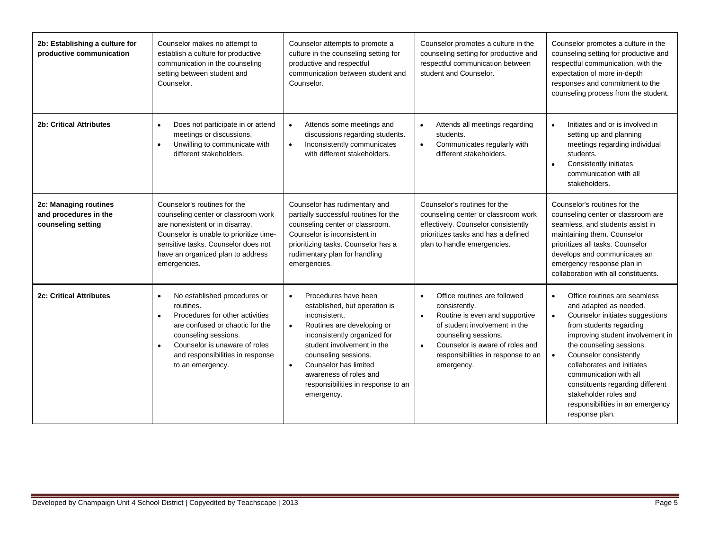| 2b: Establishing a culture for<br>productive communication           | Counselor makes no attempt to<br>establish a culture for productive<br>communication in the counseling<br>setting between student and<br>Counselor.                                                                                                        | Counselor attempts to promote a<br>culture in the counseling setting for<br>productive and respectful<br>communication between student and<br>Counselor.                                                                                                                                                                                 | Counselor promotes a culture in the<br>counseling setting for productive and<br>respectful communication between<br>student and Counselor.                                                                                                                | Counselor promotes a culture in the<br>counseling setting for productive and<br>respectful communication, with the<br>expectation of more in-depth<br>responses and commitment to the<br>counseling process from the student.                                                                                                                                                                                       |
|----------------------------------------------------------------------|------------------------------------------------------------------------------------------------------------------------------------------------------------------------------------------------------------------------------------------------------------|------------------------------------------------------------------------------------------------------------------------------------------------------------------------------------------------------------------------------------------------------------------------------------------------------------------------------------------|-----------------------------------------------------------------------------------------------------------------------------------------------------------------------------------------------------------------------------------------------------------|---------------------------------------------------------------------------------------------------------------------------------------------------------------------------------------------------------------------------------------------------------------------------------------------------------------------------------------------------------------------------------------------------------------------|
| <b>2b: Critical Attributes</b>                                       | Does not participate in or attend<br>$\bullet$<br>meetings or discussions.<br>Unwilling to communicate with<br>$\bullet$<br>different stakeholders.                                                                                                        | Attends some meetings and<br>$\bullet$<br>discussions regarding students.<br>Inconsistently communicates<br>$\bullet$<br>with different stakeholders.                                                                                                                                                                                    | Attends all meetings regarding<br>$\bullet$<br>students.<br>Communicates regularly with<br>$\bullet$<br>different stakeholders.                                                                                                                           | Initiates and or is involved in<br>$\bullet$<br>setting up and planning<br>meetings regarding individual<br>students.<br>Consistently initiates<br>$\bullet$<br>communication with all<br>stakeholders.                                                                                                                                                                                                             |
| 2c: Managing routines<br>and procedures in the<br>counseling setting | Counselor's routines for the<br>counseling center or classroom work<br>are nonexistent or in disarray.<br>Counselor is unable to prioritize time-<br>sensitive tasks. Counselor does not<br>have an organized plan to address<br>emergencies.              | Counselor has rudimentary and<br>partially successful routines for the<br>counseling center or classroom.<br>Counselor is inconsistent in<br>prioritizing tasks. Counselor has a<br>rudimentary plan for handling<br>emergencies.                                                                                                        | Counselor's routines for the<br>counseling center or classroom work<br>effectively. Counselor consistently<br>prioritizes tasks and has a defined<br>plan to handle emergencies.                                                                          | Counselor's routines for the<br>counseling center or classroom are<br>seamless, and students assist in<br>maintaining them. Counselor<br>prioritizes all tasks. Counselor<br>develops and communicates an<br>emergency response plan in<br>collaboration with all constituents.                                                                                                                                     |
| <b>2c: Critical Attributes</b>                                       | No established procedures or<br>$\bullet$<br>routines.<br>Procedures for other activities<br>are confused or chaotic for the<br>counseling sessions.<br>Counselor is unaware of roles<br>$\bullet$<br>and responsibilities in response<br>to an emergency. | Procedures have been<br>$\bullet$<br>established, but operation is<br>inconsistent.<br>Routines are developing or<br>$\bullet$<br>inconsistently organized for<br>student involvement in the<br>counseling sessions.<br>Counselor has limited<br>$\bullet$<br>awareness of roles and<br>responsibilities in response to an<br>emergency. | Office routines are followed<br>$\bullet$<br>consistently.<br>Routine is even and supportive<br>of student involvement in the<br>counseling sessions.<br>Counselor is aware of roles and<br>$\bullet$<br>responsibilities in response to an<br>emergency. | Office routines are seamless<br>$\bullet$<br>and adapted as needed.<br>Counselor initiates suggestions<br>$\bullet$<br>from students regarding<br>improving student involvement in<br>the counseling sessions.<br>Counselor consistently<br>collaborates and initiates<br>communication with all<br>constituents regarding different<br>stakeholder roles and<br>responsibilities in an emergency<br>response plan. |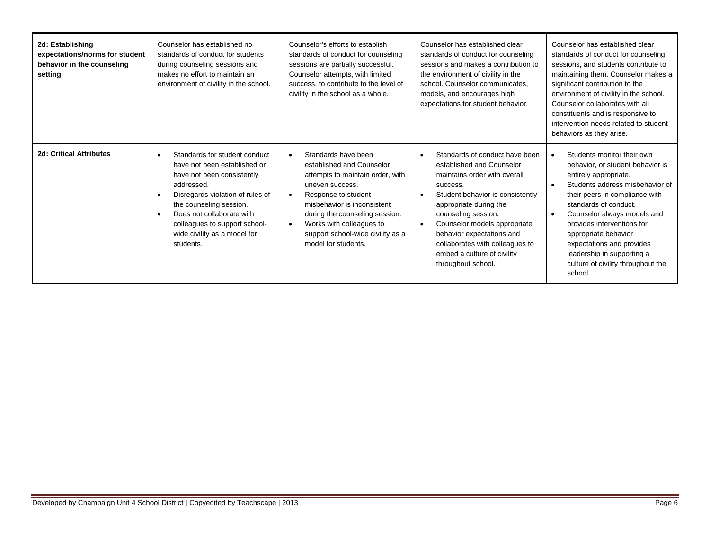| 2d: Establishing<br>expectations/norms for student<br>behavior in the counseling<br>setting | Counselor has established no<br>standards of conduct for students<br>during counseling sessions and<br>makes no effort to maintain an<br>environment of civility in the school.                                                                                                                                            | Counselor's efforts to establish<br>standards of conduct for counseling<br>sessions are partially successful.<br>Counselor attempts, with limited<br>success, to contribute to the level of<br>civility in the school as a whole.                                                                                 | Counselor has established clear<br>standards of conduct for counseling<br>sessions and makes a contribution to<br>the environment of civility in the<br>school. Counselor communicates,<br>models, and encourages high<br>expectations for student behavior.                                                                                      | Counselor has established clear<br>standards of conduct for counseling<br>sessions, and students contribute to<br>maintaining them. Counselor makes a<br>significant contribution to the<br>environment of civility in the school.<br>Counselor collaborates with all<br>constituents and is responsive to<br>intervention needs related to student<br>behaviors as they arise.                                  |
|---------------------------------------------------------------------------------------------|----------------------------------------------------------------------------------------------------------------------------------------------------------------------------------------------------------------------------------------------------------------------------------------------------------------------------|-------------------------------------------------------------------------------------------------------------------------------------------------------------------------------------------------------------------------------------------------------------------------------------------------------------------|---------------------------------------------------------------------------------------------------------------------------------------------------------------------------------------------------------------------------------------------------------------------------------------------------------------------------------------------------|------------------------------------------------------------------------------------------------------------------------------------------------------------------------------------------------------------------------------------------------------------------------------------------------------------------------------------------------------------------------------------------------------------------|
| <b>2d: Critical Attributes</b>                                                              | Standards for student conduct<br>$\bullet$<br>have not been established or<br>have not been consistently<br>addressed.<br>Disregards violation of rules of<br>$\bullet$<br>the counseling session.<br>Does not collaborate with<br>$\bullet$<br>colleagues to support school-<br>wide civility as a model for<br>students. | Standards have been<br>$\bullet$<br>established and Counselor<br>attempts to maintain order, with<br>uneven success.<br>Response to student<br>misbehavior is inconsistent<br>during the counseling session.<br>Works with colleagues to<br>$\bullet$<br>support school-wide civility as a<br>model for students. | Standards of conduct have been<br>established and Counselor<br>maintains order with overall<br>success.<br>Student behavior is consistently<br>appropriate during the<br>counseling session.<br>Counselor models appropriate<br>behavior expectations and<br>collaborates with colleagues to<br>embed a culture of civility<br>throughout school. | Students monitor their own<br>$\bullet$<br>behavior, or student behavior is<br>entirely appropriate.<br>Students address misbehavior of<br>$\bullet$<br>their peers in compliance with<br>standards of conduct.<br>Counselor always models and<br>provides interventions for<br>appropriate behavior<br>expectations and provides<br>leadership in supporting a<br>culture of civility throughout the<br>school. |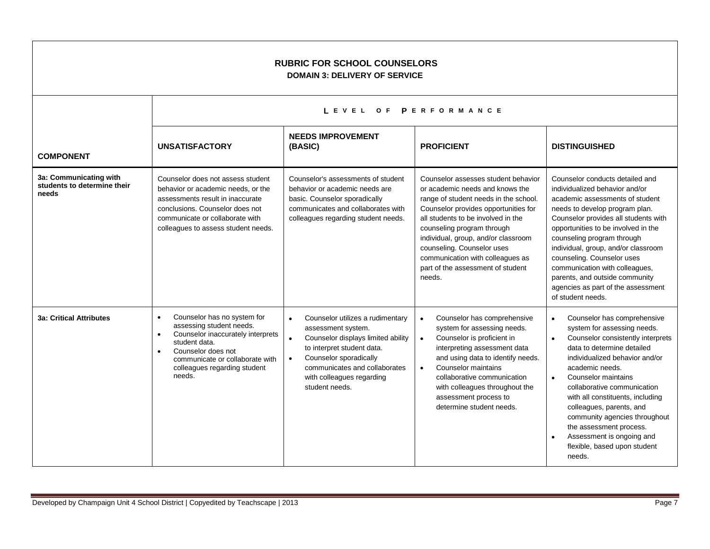| <b>RUBRIC FOR SCHOOL COUNSELORS</b><br><b>DOMAIN 3: DELIVERY OF SERVICE</b> |                                                                                                                                                                                                                                            |                                                                                                                                                                                                                                                                             |                                                                                                                                                                                                                                                                                                                                                                                     |                                                                                                                                                                                                                                                                                                                                                                                                                                                                                                 |
|-----------------------------------------------------------------------------|--------------------------------------------------------------------------------------------------------------------------------------------------------------------------------------------------------------------------------------------|-----------------------------------------------------------------------------------------------------------------------------------------------------------------------------------------------------------------------------------------------------------------------------|-------------------------------------------------------------------------------------------------------------------------------------------------------------------------------------------------------------------------------------------------------------------------------------------------------------------------------------------------------------------------------------|-------------------------------------------------------------------------------------------------------------------------------------------------------------------------------------------------------------------------------------------------------------------------------------------------------------------------------------------------------------------------------------------------------------------------------------------------------------------------------------------------|
|                                                                             |                                                                                                                                                                                                                                            | LEVEL OF PERFORMANCE                                                                                                                                                                                                                                                        |                                                                                                                                                                                                                                                                                                                                                                                     |                                                                                                                                                                                                                                                                                                                                                                                                                                                                                                 |
| <b>COMPONENT</b>                                                            | <b>UNSATISFACTORY</b>                                                                                                                                                                                                                      | <b>NEEDS IMPROVEMENT</b><br>(BASIC)                                                                                                                                                                                                                                         | <b>PROFICIENT</b>                                                                                                                                                                                                                                                                                                                                                                   | <b>DISTINGUISHED</b>                                                                                                                                                                                                                                                                                                                                                                                                                                                                            |
| 3a: Communicating with<br>students to determine their<br>needs              | Counselor does not assess student<br>behavior or academic needs, or the<br>assessments result in inaccurate<br>conclusions. Counselor does not<br>communicate or collaborate with<br>colleagues to assess student needs.                   | Counselor's assessments of student<br>behavior or academic needs are<br>basic. Counselor sporadically<br>communicates and collaborates with<br>colleagues regarding student needs.                                                                                          | Counselor assesses student behavior<br>or academic needs and knows the<br>range of student needs in the school.<br>Counselor provides opportunities for<br>all students to be involved in the<br>counseling program through<br>individual, group, and/or classroom<br>counseling. Counselor uses<br>communication with colleagues as<br>part of the assessment of student<br>needs. | Counselor conducts detailed and<br>individualized behavior and/or<br>academic assessments of student<br>needs to develop program plan.<br>Counselor provides all students with<br>opportunities to be involved in the<br>counseling program through<br>individual, group, and/or classroom<br>counseling. Counselor uses<br>communication with colleagues,<br>parents, and outside community<br>agencies as part of the assessment<br>of student needs.                                         |
| <b>3a: Critical Attributes</b>                                              | Counselor has no system for<br>$\bullet$<br>assessing student needs.<br>Counselor inaccurately interprets<br>$\bullet$<br>student data.<br>Counselor does not<br>communicate or collaborate with<br>colleagues regarding student<br>needs. | Counselor utilizes a rudimentary<br>$\bullet$<br>assessment system.<br>$\bullet$<br>Counselor displays limited ability<br>to interpret student data.<br>Counselor sporadically<br>$\bullet$<br>communicates and collaborates<br>with colleagues regarding<br>student needs. | Counselor has comprehensive<br>$\bullet$<br>system for assessing needs.<br>Counselor is proficient in<br>$\bullet$<br>interpreting assessment data<br>and using data to identify needs.<br>Counselor maintains<br>$\bullet$<br>collaborative communication<br>with colleagues throughout the<br>assessment process to<br>determine student needs.                                   | Counselor has comprehensive<br>$\bullet$<br>system for assessing needs.<br>Counselor consistently interprets<br>$\bullet$<br>data to determine detailed<br>individualized behavior and/or<br>academic needs.<br>Counselor maintains<br>$\bullet$<br>collaborative communication<br>with all constituents, including<br>colleagues, parents, and<br>community agencies throughout<br>the assessment process.<br>Assessment is ongoing and<br>$\bullet$<br>flexible, based upon student<br>needs. |

 $\Gamma$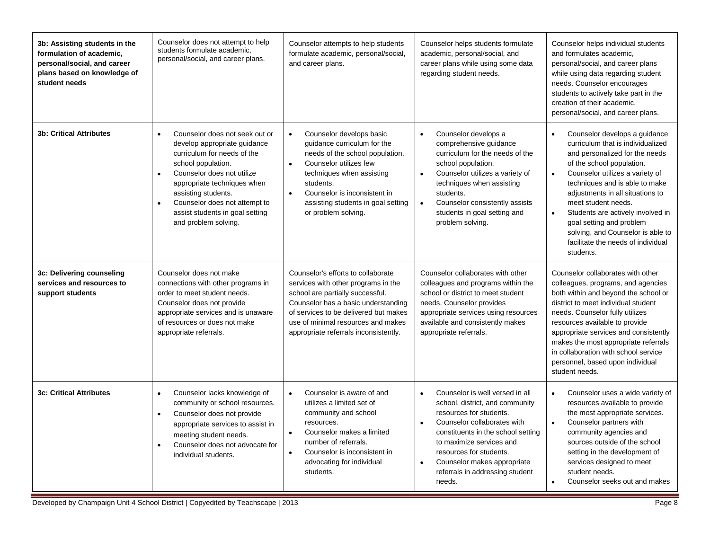| 3b: Assisting students in the<br>formulation of academic,<br>personal/social, and career<br>plans based on knowledge of<br>student needs | Counselor does not attempt to help<br>students formulate academic,<br>personal/social, and career plans.                                                                                                                                                                                                                      | Counselor attempts to help students<br>formulate academic, personal/social,<br>and career plans.                                                                                                                                                                                                   | Counselor helps students formulate<br>academic, personal/social, and<br>career plans while using some data<br>regarding student needs.                                                                                                                                                                                                       | Counselor helps individual students<br>and formulates academic,<br>personal/social, and career plans<br>while using data regarding student<br>needs. Counselor encourages<br>students to actively take part in the<br>creation of their academic.<br>personal/social, and career plans.                                                                                                                                                                           |
|------------------------------------------------------------------------------------------------------------------------------------------|-------------------------------------------------------------------------------------------------------------------------------------------------------------------------------------------------------------------------------------------------------------------------------------------------------------------------------|----------------------------------------------------------------------------------------------------------------------------------------------------------------------------------------------------------------------------------------------------------------------------------------------------|----------------------------------------------------------------------------------------------------------------------------------------------------------------------------------------------------------------------------------------------------------------------------------------------------------------------------------------------|-------------------------------------------------------------------------------------------------------------------------------------------------------------------------------------------------------------------------------------------------------------------------------------------------------------------------------------------------------------------------------------------------------------------------------------------------------------------|
| <b>3b: Critical Attributes</b>                                                                                                           | Counselor does not seek out or<br>develop appropriate guidance<br>curriculum for needs of the<br>school population.<br>Counselor does not utilize<br>$\bullet$<br>appropriate techniques when<br>assisting students.<br>Counselor does not attempt to<br>$\bullet$<br>assist students in goal setting<br>and problem solving. | Counselor develops basic<br>$\bullet$<br>guidance curriculum for the<br>needs of the school population.<br>Counselor utilizes few<br>$\bullet$<br>techniques when assisting<br>students.<br>Counselor is inconsistent in<br>$\bullet$<br>assisting students in goal setting<br>or problem solving. | Counselor develops a<br>$\bullet$<br>comprehensive guidance<br>curriculum for the needs of the<br>school population.<br>Counselor utilizes a variety of<br>techniques when assisting<br>students.<br>Counselor consistently assists<br>$\bullet$<br>students in goal setting and<br>problem solving.                                         | Counselor develops a guidance<br>$\bullet$<br>curriculum that is individualized<br>and personalized for the needs<br>of the school population.<br>Counselor utilizes a variety of<br>$\bullet$<br>techniques and is able to make<br>adjustments in all situations to<br>meet student needs.<br>Students are actively involved in<br>$\bullet$<br>goal setting and problem<br>solving, and Counselor is able to<br>facilitate the needs of individual<br>students. |
| 3c: Delivering counseling<br>services and resources to<br>support students                                                               | Counselor does not make<br>connections with other programs in<br>order to meet student needs.<br>Counselor does not provide<br>appropriate services and is unaware<br>of resources or does not make<br>appropriate referrals.                                                                                                 | Counselor's efforts to collaborate<br>services with other programs in the<br>school are partially successful.<br>Counselor has a basic understanding<br>of services to be delivered but makes<br>use of minimal resources and makes<br>appropriate referrals inconsistently.                       | Counselor collaborates with other<br>colleagues and programs within the<br>school or district to meet student<br>needs. Counselor provides<br>appropriate services using resources<br>available and consistently makes<br>appropriate referrals.                                                                                             | Counselor collaborates with other<br>colleagues, programs, and agencies<br>both within and beyond the school or<br>district to meet individual student<br>needs. Counselor fully utilizes<br>resources available to provide<br>appropriate services and consistently<br>makes the most appropriate referrals<br>in collaboration with school service<br>personnel, based upon individual<br>student needs.                                                        |
| <b>3c: Critical Attributes</b>                                                                                                           | Counselor lacks knowledge of<br>$\bullet$<br>community or school resources.<br>Counselor does not provide<br>$\bullet$<br>appropriate services to assist in<br>meeting student needs.<br>Counselor does not advocate for<br>$\bullet$<br>individual students.                                                                 | Counselor is aware of and<br>$\bullet$<br>utilizes a limited set of<br>community and school<br>resources.<br>Counselor makes a limited<br>$\bullet$<br>number of referrals.<br>Counselor is inconsistent in<br>$\bullet$<br>advocating for individual<br>students.                                 | Counselor is well versed in all<br>$\bullet$<br>school, district, and community<br>resources for students.<br>Counselor collaborates with<br>$\bullet$<br>constituents in the school setting<br>to maximize services and<br>resources for students.<br>Counselor makes appropriate<br>$\bullet$<br>referrals in addressing student<br>needs. | Counselor uses a wide variety of<br>$\bullet$<br>resources available to provide<br>the most appropriate services.<br>Counselor partners with<br>$\bullet$<br>community agencies and<br>sources outside of the school<br>setting in the development of<br>services designed to meet<br>student needs.<br>Counselor seeks out and makes<br>$\bullet$                                                                                                                |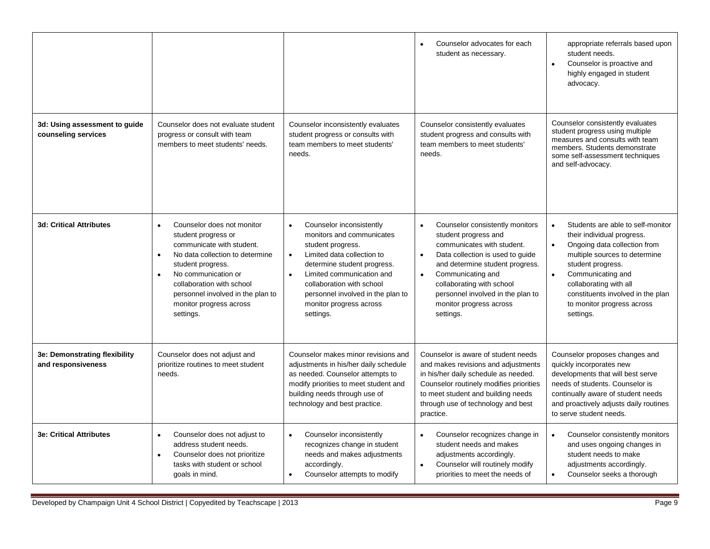|                                                      |                                                                                                                                                                                                                                                                                                                |                                                                                                                                                                                                                                                                                                                       | Counselor advocates for each<br>student as necessary.                                                                                                                                                                                                                                                                 | appropriate referrals based upon<br>student needs.<br>Counselor is proactive and<br>$\bullet$<br>highly engaged in student<br>advocacy.                                                                                                                                                                                     |
|------------------------------------------------------|----------------------------------------------------------------------------------------------------------------------------------------------------------------------------------------------------------------------------------------------------------------------------------------------------------------|-----------------------------------------------------------------------------------------------------------------------------------------------------------------------------------------------------------------------------------------------------------------------------------------------------------------------|-----------------------------------------------------------------------------------------------------------------------------------------------------------------------------------------------------------------------------------------------------------------------------------------------------------------------|-----------------------------------------------------------------------------------------------------------------------------------------------------------------------------------------------------------------------------------------------------------------------------------------------------------------------------|
| 3d: Using assessment to guide<br>counseling services | Counselor does not evaluate student<br>progress or consult with team<br>members to meet students' needs.                                                                                                                                                                                                       | Counselor inconsistently evaluates<br>student progress or consults with<br>team members to meet students'<br>needs.                                                                                                                                                                                                   | Counselor consistently evaluates<br>student progress and consults with<br>team members to meet students'<br>needs.                                                                                                                                                                                                    | Counselor consistently evaluates<br>student progress using multiple<br>measures and consults with team<br>members. Students demonstrate<br>some self-assessment techniques<br>and self-advocacy.                                                                                                                            |
| <b>3d: Critical Attributes</b>                       | Counselor does not monitor<br>$\bullet$<br>student progress or<br>communicate with student.<br>No data collection to determine<br>$\bullet$<br>student progress.<br>No communication or<br>$\bullet$<br>collaboration with school<br>personnel involved in the plan to<br>monitor progress across<br>settings. | Counselor inconsistently<br>$\bullet$<br>monitors and communicates<br>student progress.<br>Limited data collection to<br>$\bullet$<br>determine student progress.<br>Limited communication and<br>$\bullet$<br>collaboration with school<br>personnel involved in the plan to<br>monitor progress across<br>settings. | Counselor consistently monitors<br>$\bullet$<br>student progress and<br>communicates with student.<br>Data collection is used to quide<br>$\bullet$<br>and determine student progress.<br>Communicating and<br>collaborating with school<br>personnel involved in the plan to<br>monitor progress across<br>settings. | Students are able to self-monitor<br>$\bullet$<br>their individual progress.<br>Ongoing data collection from<br>$\bullet$<br>multiple sources to determine<br>student progress.<br>Communicating and<br>$\bullet$<br>collaborating with all<br>constituents involved in the plan<br>to monitor progress across<br>settings. |
| 3e: Demonstrating flexibility<br>and responsiveness  | Counselor does not adjust and<br>prioritize routines to meet student<br>needs.                                                                                                                                                                                                                                 | Counselor makes minor revisions and<br>adjustments in his/her daily schedule<br>as needed. Counselor attempts to<br>modify priorities to meet student and<br>building needs through use of<br>technology and best practice.                                                                                           | Counselor is aware of student needs<br>and makes revisions and adjustments<br>in his/her daily schedule as needed.<br>Counselor routinely modifies priorities<br>to meet student and building needs<br>through use of technology and best<br>practice.                                                                | Counselor proposes changes and<br>quickly incorporates new<br>developments that will best serve<br>needs of students. Counselor is<br>continually aware of student needs<br>and proactively adjusts daily routines<br>to serve student needs.                                                                               |
| <b>3e: Critical Attributes</b>                       | Counselor does not adjust to<br>$\bullet$<br>address student needs.<br>Counselor does not prioritize<br>$\bullet$<br>tasks with student or school<br>goals in mind.                                                                                                                                            | Counselor inconsistently<br>$\bullet$<br>recognizes change in student<br>needs and makes adjustments<br>accordingly.<br>Counselor attempts to modify                                                                                                                                                                  | Counselor recognizes change in<br>$\bullet$<br>student needs and makes<br>adjustments accordingly.<br>Counselor will routinely modify<br>priorities to meet the needs of                                                                                                                                              | Counselor consistently monitors<br>$\bullet$<br>and uses ongoing changes in<br>student needs to make<br>adjustments accordingly.<br>Counselor seeks a thorough<br>$\bullet$                                                                                                                                                 |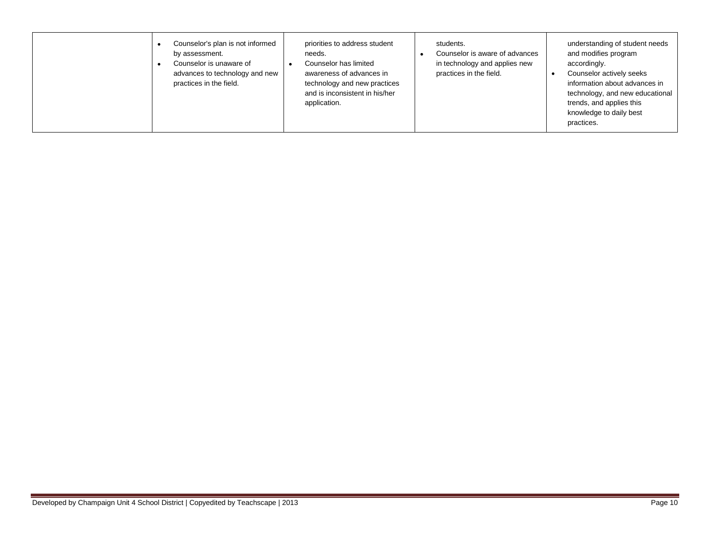| Counselor's plan is not informed<br>priorities to address student<br>by assessment.<br>needs.<br>Counselor is unaware of<br>Counselor has limited<br>advances to technology and new<br>awareness of advances in<br>practices in the field.<br>technology and new practices<br>and is inconsistent in his/her<br>application. | understanding of student needs<br>students.<br>and modifies program<br>Counselor is aware of advances<br>in technology and applies new<br>accordingly.<br>practices in the field.<br>Counselor actively seeks<br>information about advances in<br>technology, and new educational<br>trends, and applies this<br>knowledge to daily best<br>practices. |  |
|------------------------------------------------------------------------------------------------------------------------------------------------------------------------------------------------------------------------------------------------------------------------------------------------------------------------------|--------------------------------------------------------------------------------------------------------------------------------------------------------------------------------------------------------------------------------------------------------------------------------------------------------------------------------------------------------|--|
|------------------------------------------------------------------------------------------------------------------------------------------------------------------------------------------------------------------------------------------------------------------------------------------------------------------------------|--------------------------------------------------------------------------------------------------------------------------------------------------------------------------------------------------------------------------------------------------------------------------------------------------------------------------------------------------------|--|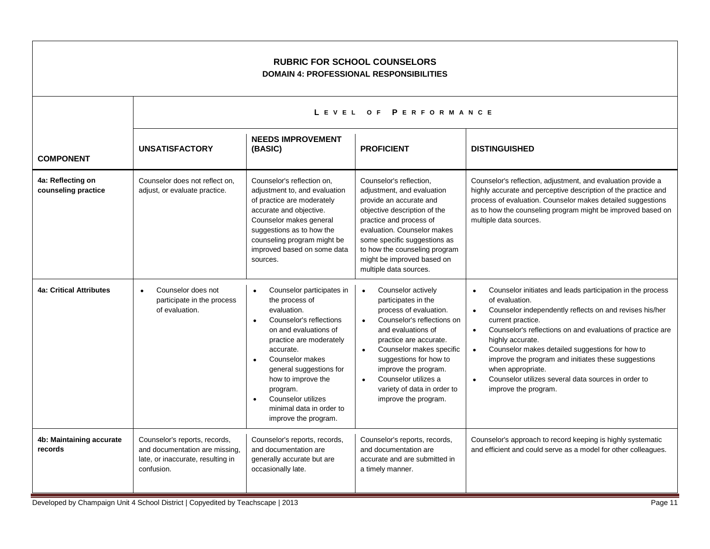| <b>RUBRIC FOR SCHOOL COUNSELORS</b><br><b>DOMAIN 4: PROFESSIONAL RESPONSIBILITIES</b> |                                                                                                                    |                                                                                                                                                                                                                                                                                                                                                         |                                                                                                                                                                                                                                                                                                                                                                    |                                                                                                                                                                                                                                                                                                                                                                                                                                                                                                                               |  |  |
|---------------------------------------------------------------------------------------|--------------------------------------------------------------------------------------------------------------------|---------------------------------------------------------------------------------------------------------------------------------------------------------------------------------------------------------------------------------------------------------------------------------------------------------------------------------------------------------|--------------------------------------------------------------------------------------------------------------------------------------------------------------------------------------------------------------------------------------------------------------------------------------------------------------------------------------------------------------------|-------------------------------------------------------------------------------------------------------------------------------------------------------------------------------------------------------------------------------------------------------------------------------------------------------------------------------------------------------------------------------------------------------------------------------------------------------------------------------------------------------------------------------|--|--|
|                                                                                       | LEVEL OF PERFORMANCE                                                                                               |                                                                                                                                                                                                                                                                                                                                                         |                                                                                                                                                                                                                                                                                                                                                                    |                                                                                                                                                                                                                                                                                                                                                                                                                                                                                                                               |  |  |
| <b>COMPONENT</b>                                                                      | <b>UNSATISFACTORY</b>                                                                                              | <b>NEEDS IMPROVEMENT</b><br>(BASIC)                                                                                                                                                                                                                                                                                                                     | <b>PROFICIENT</b>                                                                                                                                                                                                                                                                                                                                                  | <b>DISTINGUISHED</b>                                                                                                                                                                                                                                                                                                                                                                                                                                                                                                          |  |  |
| 4a: Reflecting on<br>counseling practice                                              | Counselor does not reflect on,<br>adjust, or evaluate practice.                                                    | Counselor's reflection on,<br>adjustment to, and evaluation<br>of practice are moderately<br>accurate and objective.<br>Counselor makes general<br>suggestions as to how the<br>counseling program might be<br>improved based on some data<br>sources.                                                                                                  | Counselor's reflection,<br>adjustment, and evaluation<br>provide an accurate and<br>objective description of the<br>practice and process of<br>evaluation. Counselor makes<br>some specific suggestions as<br>to how the counseling program<br>might be improved based on<br>multiple data sources.                                                                | Counselor's reflection, adjustment, and evaluation provide a<br>highly accurate and perceptive description of the practice and<br>process of evaluation. Counselor makes detailed suggestions<br>as to how the counseling program might be improved based on<br>multiple data sources.                                                                                                                                                                                                                                        |  |  |
| <b>4a: Critical Attributes</b>                                                        | Counselor does not<br>$\bullet$<br>participate in the process<br>of evaluation.                                    | Counselor participates in<br>$\bullet$<br>the process of<br>evaluation.<br>Counselor's reflections<br>$\bullet$<br>on and evaluations of<br>practice are moderately<br>accurate.<br>Counselor makes<br>general suggestions for<br>how to improve the<br>program.<br>Counselor utilizes<br>$\bullet$<br>minimal data in order to<br>improve the program. | Counselor actively<br>$\bullet$<br>participates in the<br>process of evaluation.<br>Counselor's reflections on<br>$\bullet$<br>and evaluations of<br>practice are accurate.<br>Counselor makes specific<br>$\bullet$<br>suggestions for how to<br>improve the program.<br>Counselor utilizes a<br>$\bullet$<br>variety of data in order to<br>improve the program. | Counselor initiates and leads participation in the process<br>$\bullet$<br>of evaluation.<br>Counselor independently reflects on and revises his/her<br>$\bullet$<br>current practice.<br>Counselor's reflections on and evaluations of practice are<br>$\bullet$<br>highly accurate.<br>Counselor makes detailed suggestions for how to<br>$\bullet$<br>improve the program and initiates these suggestions<br>when appropriate.<br>Counselor utilizes several data sources in order to<br>$\bullet$<br>improve the program. |  |  |
| 4b: Maintaining accurate<br>records                                                   | Counselor's reports, records,<br>and documentation are missing,<br>late, or inaccurate, resulting in<br>confusion. | Counselor's reports, records,<br>and documentation are<br>generally accurate but are<br>occasionally late.                                                                                                                                                                                                                                              | Counselor's reports, records,<br>and documentation are<br>accurate and are submitted in<br>a timely manner.                                                                                                                                                                                                                                                        | Counselor's approach to record keeping is highly systematic<br>and efficient and could serve as a model for other colleagues.                                                                                                                                                                                                                                                                                                                                                                                                 |  |  |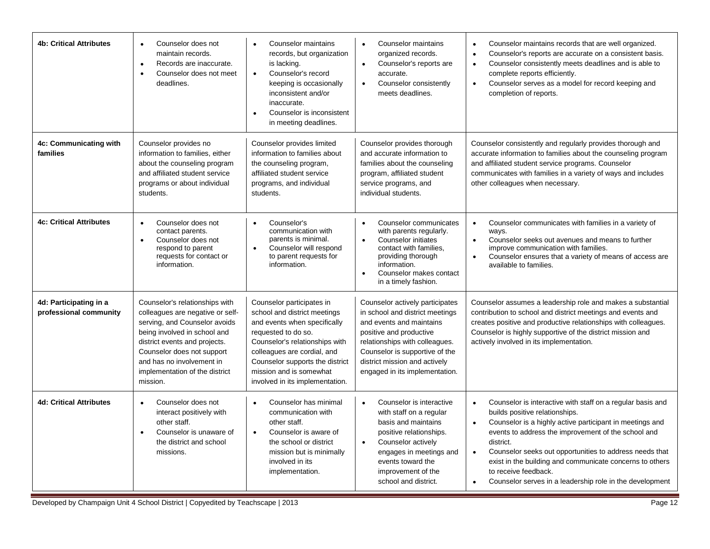| <b>4b: Critical Attributes</b>                   | Counselor does not<br>maintain records.<br>Records are inaccurate.<br>$\bullet$<br>Counselor does not meet<br>$\bullet$<br>deadlines.                                                                                                                                         | Counselor maintains<br>records, but organization<br>is lacking.<br>Counselor's record<br>$\bullet$<br>keeping is occasionally<br>inconsistent and/or<br>inaccurate.<br>Counselor is inconsistent<br>in meeting deadlines.                                                          | Counselor maintains<br>$\bullet$<br>organized records.<br>Counselor's reports are<br>$\bullet$<br>accurate.<br>Counselor consistently<br>$\bullet$<br>meets deadlines.                                                                                           | Counselor maintains records that are well organized.<br>Counselor's reports are accurate on a consistent basis.<br>$\bullet$<br>Counselor consistently meets deadlines and is able to<br>$\bullet$<br>complete reports efficiently.<br>Counselor serves as a model for record keeping and<br>completion of reports.                                                                                                                                                            |
|--------------------------------------------------|-------------------------------------------------------------------------------------------------------------------------------------------------------------------------------------------------------------------------------------------------------------------------------|------------------------------------------------------------------------------------------------------------------------------------------------------------------------------------------------------------------------------------------------------------------------------------|------------------------------------------------------------------------------------------------------------------------------------------------------------------------------------------------------------------------------------------------------------------|--------------------------------------------------------------------------------------------------------------------------------------------------------------------------------------------------------------------------------------------------------------------------------------------------------------------------------------------------------------------------------------------------------------------------------------------------------------------------------|
| 4c: Communicating with<br>families               | Counselor provides no<br>information to families, either<br>about the counseling program<br>and affiliated student service<br>programs or about individual<br>students.                                                                                                       | Counselor provides limited<br>information to families about<br>the counseling program,<br>affiliated student service<br>programs, and individual<br>students.                                                                                                                      | Counselor provides thorough<br>and accurate information to<br>families about the counseling<br>program, affiliated student<br>service programs, and<br>individual students.                                                                                      | Counselor consistently and regularly provides thorough and<br>accurate information to families about the counseling program<br>and affiliated student service programs. Counselor<br>communicates with families in a variety of ways and includes<br>other colleagues when necessary.                                                                                                                                                                                          |
| <b>4c: Critical Attributes</b>                   | Counselor does not<br>contact parents.<br>Counselor does not<br>$\bullet$<br>respond to parent<br>requests for contact or<br>information.                                                                                                                                     | Counselor's<br>$\bullet$<br>communication with<br>parents is minimal.<br>Counselor will respond<br>$\bullet$<br>to parent requests for<br>information.                                                                                                                             | Counselor communicates<br>$\bullet$<br>with parents regularly.<br>Counselor initiates<br>$\bullet$<br>contact with families,<br>providing thorough<br>information.<br>Counselor makes contact<br>$\bullet$<br>in a timely fashion.                               | Counselor communicates with families in a variety of<br>$\bullet$<br>ways.<br>Counselor seeks out avenues and means to further<br>$\bullet$<br>improve communication with families.<br>Counselor ensures that a variety of means of access are<br>$\bullet$<br>available to families.                                                                                                                                                                                          |
| 4d: Participating in a<br>professional community | Counselor's relationships with<br>colleagues are negative or self-<br>serving, and Counselor avoids<br>being involved in school and<br>district events and projects.<br>Counselor does not support<br>and has no involvement in<br>implementation of the district<br>mission. | Counselor participates in<br>school and district meetings<br>and events when specifically<br>requested to do so.<br>Counselor's relationships with<br>colleagues are cordial, and<br>Counselor supports the district<br>mission and is somewhat<br>involved in its implementation. | Counselor actively participates<br>in school and district meetings<br>and events and maintains<br>positive and productive<br>relationships with colleagues.<br>Counselor is supportive of the<br>district mission and actively<br>engaged in its implementation. | Counselor assumes a leadership role and makes a substantial<br>contribution to school and district meetings and events and<br>creates positive and productive relationships with colleagues.<br>Counselor is highly supportive of the district mission and<br>actively involved in its implementation.                                                                                                                                                                         |
| <b>4d: Critical Attributes</b>                   | Counselor does not<br>interact positively with<br>other staff.<br>Counselor is unaware of<br>$\bullet$<br>the district and school<br>missions.                                                                                                                                | Counselor has minimal<br>$\bullet$<br>communication with<br>other staff.<br>Counselor is aware of<br>$\bullet$<br>the school or district<br>mission but is minimally<br>involved in its<br>implementation.                                                                         | Counselor is interactive<br>$\bullet$<br>with staff on a regular<br>basis and maintains<br>positive relationships.<br>Counselor actively<br>$\bullet$<br>engages in meetings and<br>events toward the<br>improvement of the<br>school and district.              | Counselor is interactive with staff on a regular basis and<br>$\bullet$<br>builds positive relationships.<br>Counselor is a highly active participant in meetings and<br>events to address the improvement of the school and<br>district.<br>Counselor seeks out opportunities to address needs that<br>$\bullet$<br>exist in the building and communicate concerns to others<br>to receive feedback.<br>Counselor serves in a leadership role in the development<br>$\bullet$ |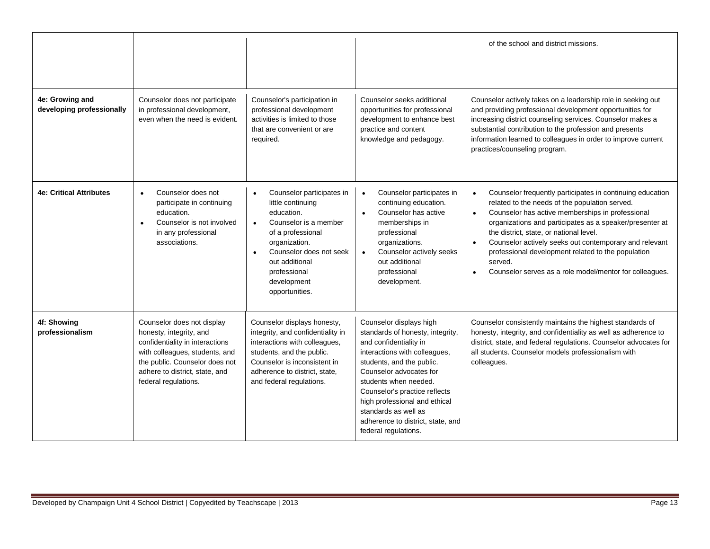|                                              |                                                                                                                                                                                                                        |                                                                                                                                                                                                                                                                  |                                                                                                                                                                                                                                                                                                                                                                | of the school and district missions.                                                                                                                                                                                                                                                                                                                                                                                                                                      |
|----------------------------------------------|------------------------------------------------------------------------------------------------------------------------------------------------------------------------------------------------------------------------|------------------------------------------------------------------------------------------------------------------------------------------------------------------------------------------------------------------------------------------------------------------|----------------------------------------------------------------------------------------------------------------------------------------------------------------------------------------------------------------------------------------------------------------------------------------------------------------------------------------------------------------|---------------------------------------------------------------------------------------------------------------------------------------------------------------------------------------------------------------------------------------------------------------------------------------------------------------------------------------------------------------------------------------------------------------------------------------------------------------------------|
| 4e: Growing and<br>developing professionally | Counselor does not participate<br>in professional development,<br>even when the need is evident.                                                                                                                       | Counselor's participation in<br>professional development<br>activities is limited to those<br>that are convenient or are<br>required.                                                                                                                            | Counselor seeks additional<br>opportunities for professional<br>development to enhance best<br>practice and content<br>knowledge and pedagogy.                                                                                                                                                                                                                 | Counselor actively takes on a leadership role in seeking out<br>and providing professional development opportunities for<br>increasing district counseling services. Counselor makes a<br>substantial contribution to the profession and presents<br>information learned to colleagues in order to improve current<br>practices/counseling program.                                                                                                                       |
| <b>4e: Critical Attributes</b>               | Counselor does not<br>$\bullet$<br>participate in continuing<br>education.<br>Counselor is not involved<br>$\bullet$<br>in any professional<br>associations.                                                           | Counselor participates in<br>$\bullet$<br>little continuing<br>education.<br>Counselor is a member<br>$\bullet$<br>of a professional<br>organization.<br>Counselor does not seek<br>$\bullet$<br>out additional<br>professional<br>development<br>opportunities. | Counselor participates in<br>$\bullet$<br>continuing education.<br>Counselor has active<br>$\bullet$<br>memberships in<br>professional<br>organizations.<br>Counselor actively seeks<br>$\bullet$<br>out additional<br>professional<br>development.                                                                                                            | Counselor frequently participates in continuing education<br>$\bullet$<br>related to the needs of the population served.<br>Counselor has active memberships in professional<br>organizations and participates as a speaker/presenter at<br>the district, state, or national level.<br>Counselor actively seeks out contemporary and relevant<br>professional development related to the population<br>served.<br>Counselor serves as a role model/mentor for colleagues. |
| 4f: Showing<br>professionalism               | Counselor does not display<br>honesty, integrity, and<br>confidentiality in interactions<br>with colleagues, students, and<br>the public. Counselor does not<br>adhere to district, state, and<br>federal regulations. | Counselor displays honesty,<br>integrity, and confidentiality in<br>interactions with colleagues,<br>students, and the public.<br>Counselor is inconsistent in<br>adherence to district, state,<br>and federal regulations.                                      | Counselor displays high<br>standards of honesty, integrity,<br>and confidentiality in<br>interactions with colleagues,<br>students, and the public.<br>Counselor advocates for<br>students when needed.<br>Counselor's practice reflects<br>high professional and ethical<br>standards as well as<br>adherence to district, state, and<br>federal regulations. | Counselor consistently maintains the highest standards of<br>honesty, integrity, and confidentiality as well as adherence to<br>district, state, and federal regulations. Counselor advocates for<br>all students. Counselor models professionalism with<br>colleagues.                                                                                                                                                                                                   |